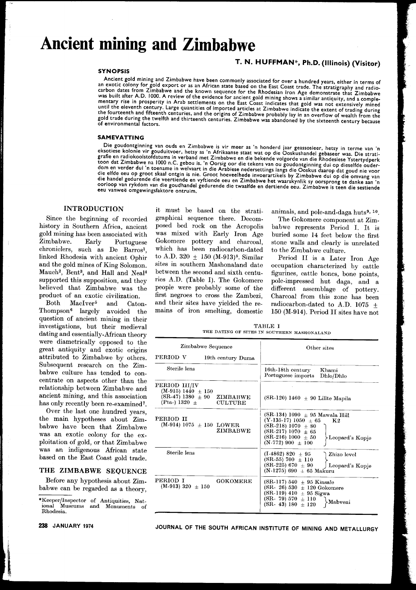# **Ancient mining and Zimbabwe**

# T. N. HUFFMAN\*. Ph.D. (Illinois) (Visitor)

### SYNOPSIS

Ancient gold mining and Zimbabwe have been commonly associated for over a hundred years, either in terms of an exotic colony for gold export or as an African state based on the East Coast trade. The stratigraphy and radio-<br>carbon dates from Zimbabwe and the known sequence for the Rhodesian Iron Age demonstrate that Zimbabwe was built after AD. 1000. A review of the evidence for ancient gold mining shows a similar antiquity, and a complementary rise in prosperity in Arab settlements on the East Coast indicates that gold was not extensively mine as until the eleventh century. Large quantities of imported articles at  $\overline{Z}$  imbabwe indicate the extent of trading during the fourteenth and fifteenth centuries, and the origins of Zimbabwe probably lay in an overflow of wealth from the gold trade during the twelfth and thirteenth centuries. Zimbabwe was abandoned by the sixteenth century because of environmental factors.

#### SAMEVATTING

Die goudontginning van ouds en Zimbabwe is vir meer as 'n honderd jaar geassosieer, hetsy in terme van 'n eksotiese kolonie vir gouduitvoer, hetsy as 'n Afrikaanse staat wat op die Ooskushandel gebaseer was. Die stratigraf toon dat Zimbabwe na <sup>1000</sup> n.c. gebou is. 'n Oorsig oor die tekens van ou goudontginning dui op dieselfde ouderdom en verder dui 'n toename in welvaart in die Arabiese nedersettings langs die Ooskus daarop dat goud nie voor<br>die elfde eeu op groot skaal ontgin is nie. Groot hoeveelhede invoerartikels by Zimbabwe dui op die omvang va oorloop van rykdom van die goudhandel gedurende die twaalfde en dertiende eeu. Zimbabwe is teen die sestiende<br>eeu vanweë omgewingsfaktore ontruim.

# **INTRODUCTION**

Since the beginning of recorded history in Southern Africa, ancient gold mining has been associated with Zimbabwe. Early Portuguese chroniclers, such as De Barros<sup>1</sup>, linked Rhodesia with ancient Ophir and the gold mines of King Solomon. Mauch2, Bent3, and Hall and Neal4 supported this supposition, and they believed that Zimbabwe was the product of an exotic civilization.

Both MacIver<sup>5</sup> and Caton-Thompson6 largely avoided the question of ancient mining in their investigations, but their medieval dating and essentially-African theory were diametrically opposed to the great antiquity and exotic origins attributed to Zimbabwe by others. Subsequent research on the Zimbabwe culture has tended to concentrate on aspects other than the relationship between Zimbabwe and ancient mining, and this association has only recently been re-examined?.

Over the last one hundred years, the main hypotheses about Zimbabwe have been that Zimbabwe was an exotic colony for the exploitation of gold, or that Zimbabwe was an indigenous African state based on the East Coast gold trade.

### THE ZIMBABWE SEQUENCE

Before any hypothesis about Zimbabwe can be regarded as a theory,

it must be based on the stratigraphical sequence there. Decomposed bed rock on the Acropolis was mixed with Early Iron Age Gokomere pottery and charcoal, which has been radiocarbon-dated to A.D.  $320 \pm 150$  (M-913)<sup>8</sup>. Similar sites in southern Mashonaland date between the second and sixth centuries *A.D.* (Table I). The Gokomere people were probably some of the first negroes to cross the Zambezi, and their sites have yielded the remains of iron smelting, domestic

animals, and pole-and-daga huts<sup>9, 10</sup>.

The Gokomere component at Zimbabwe represents Period 1. It is buried some 14 feet below the first stone walls and clearly is unrelated to the Zimbabwe culture.

Period II is a Later Iron Age occupation characterized by cattle figurines, cattle bones, bone points, pole-impressed hut daga, and a different assemblage of pottery. Charcoal from this zone has been radiocarbon-dated to A.D. 1075  $\pm$ 150 (M-914). Period II sites have not

| TABLE I |  |  |  |  |                                             |  |
|---------|--|--|--|--|---------------------------------------------|--|
|         |  |  |  |  | THE DATING OF SITES IN SOUTHERN MASHONALAND |  |

| Zimbabwe Sequence                                                                                                  | Other sites                                                                                                                                                                                                        |  |
|--------------------------------------------------------------------------------------------------------------------|--------------------------------------------------------------------------------------------------------------------------------------------------------------------------------------------------------------------|--|
| PERIOD V<br>19th century Duma                                                                                      |                                                                                                                                                                                                                    |  |
| Sterile lens                                                                                                       | 16th-18th century<br>Khami<br>Portuguese imports<br>Dhlo/Dhlo                                                                                                                                                      |  |
| PERIOD III/IV<br>$(M-915) 1440 \pm 150$<br>$(SR-47)$ 1380 $\pm$ 90 ZIMBABWE<br>(Pta-) 1320 $\pm$<br><b>CULTURE</b> | $(SR-120)$ 1460 $\pm$ 90 Lillte Mapila                                                                                                                                                                             |  |
| PERIOD II<br>$(M-914) 1075 \pm 150$ LOWER<br>ZIMBABWE                                                              | $(SR-134) 1090 \pm 95$ Mawala Hill<br>$(Y-135-17)$ 1050 $\pm$ 65<br>$\mathbf{K}2$<br>$(SR-218) 1070 + 80$<br>$(SR-217) 1070 \pm 65$<br>$(SR-216) 1000 + 50$<br>$\angle$ Leopard's Kopje<br>$(N-772)$ 900 $\pm$ 100 |  |
| Sterile lens                                                                                                       | $(1.4862) 820 \pm 95$<br>Zhizo level<br>(SR-55) 700 $\pm$ 110<br>$(SR-225) 670 \pm 90$<br>Leopard's Kopje<br>$(N-1275) 690 \pm 65$ Makuru                                                                          |  |
| PERIOD I<br><b>GOKOMERE</b><br>$(M-913)$ 320 $\pm$ 150                                                             | $(SR-117) 540 \pm 95$ Kinsale<br>$(SR - 26) 530 + 120$ Gokomere<br>$(SR-119) 410 \pm 95$ Sigwa<br>(SR- 79) 570 $\pm$ 110<br>Mabveni<br>$(SR - 43) 180 \pm 120$                                                     |  |

<sup>\*</sup>Keeper/lnspector of Antiquities, National Museums and Monuments of Rhodesia.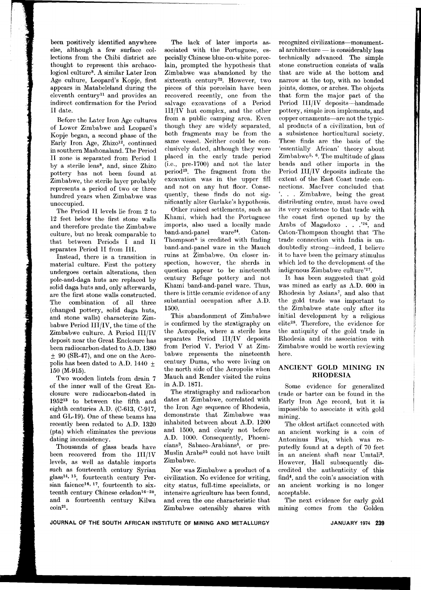been positively identified anywhere else, although a few surface collections from the Chibi district are thought to represent this archaeological culture8. A similar Later Iron Age culture, Leopard's Kopje, first appears in Matabeleland during the eleventh century<sup>11</sup> and provides an indirect confirmation for the Period Il date.

Before the Later Iron Age cultures of Lower Zimbabwe and Leopard's Kopje began, a second phase of the Early Iron Age, Zhizo<sup>12</sup>, continued in southern Mashonaland. The Period Il zone is separated from Period I by a sterile lens8, and, since Zhizo pottery has not been found at Zimbabwe, the sterile layer probably represents a period of two or three hundred years when Zimbabwe was unoccupied.

The Period Il levels lie from 2 to 12 feet below the first stone walls and therefore predate the Zimbabwe culture, but no break comparable to that between Periods I and Il separates Period II from Ill.

Instead, there is a transition in material culture. First the pottery undergoes certain alterations, then pole-and-daga huts are replaced by solid daga huts and, only afterwards, are the first stone walls constructed. The combination of all three (changed pottery, solid daga huts, and stone walls) characterize Zimbabwe Period HI/IV, the time of the Zimbabwe culture. A Period IH/IV deposit near the Great Enclosure has been radiocarbon-dated to *A.D.* 1380  $± 90$  (SR-47), and one on the Acropolis has been dated to A.D. 1440  $\pm$ 150 (M-915).

Two wooden lintels from drain 7 of the inner wall of the Great Enclosure were radiocarbon-dated in 195213 to between the fifth and eighth centuries AD. (C-613, C-917, and GL-19). One of these beams has recently been redated to *A.D.* 1320 (pta) which eliminates the previous dating inconsistency.

Thousands of glass beads have been recovered from the III/IV levels, as well as datable imports such as fourteenth century Syrian glassl4, 15, fourteenth century Persian faience<sup>16, 17</sup>, fourteenth to sixteenth century Chinese celadon<sup>16-20</sup>, and a fourteenth century Kilwa coin21.

The lack of later imports associated with the Portuguese, especially Chinese blue-on-white porcelain, prompted the hypothesis that Zimbabwe was abandoned by the sixteenth century<sup>22</sup>. However, two pieces of this porcelain have been recovered recently, one from the salvage excavations of a Period IH/IV hut complex, and the other from a public camping area. Even though they are widely separated, both fragments may be from the same vessel. Neither could be conclusively dated, although they were placed in the early trade period (i.e., pre-1700) and not the later period23. The fragment from the excavation was in the upper fill and not on any hut floor. Consequently, these finds do not significantly alter Garlake's hypothesis.

Other ruined settlements, such as Khami, which had the Portuguese imports, also used a locally made band-and-panel ware<sup>24</sup>. Caton-Thompson<sup> $6$ </sup> is credited with finding band-and-panel ware in the Mauch ruins at Zimbabwe. On closer inspection, however, the sherds in question appear to be nineteenth century Refuge pottery and not Khami band-and-panel ware. Thus, there is little ceramic evidence of any substantial occupation after *A.D.* 1500.

This abandonment of Zimbabwe is confirmed by the stratigraphy on the Acropolis, where a sterile lens separates Period III/IV deposits from Period V. Period V at Zimbabwe represents the nineteenth century Duma, who were living on the north side of the Acropolis when Mauch and Render visited the ruins in *A.D.* 1871.

The stratigraphy and radiocarbon dates at Zimbabwe, correlated with the Iron Age sequence of Rhodesia, demonstrate that Zimbabwe was inhabited between about *A.D.* 1200 and 1500, and clearly not before *A.D.* 1000. Consequently, Phoenicians3, Sabaeo-Arabians4, or pre-Muslin Arabs25 could not have built Zimbabwe.

Nor was Zimbabwe a product of a civilization. No evidence for writing, city status, full-time specialists, or intensive agriculture has been found, and even the one characteristic that Zimbabwe ostensibly shares with recognized civilizations-monument $a$ l architecture  $-$  is considerably less technically advanced. The simple stone construction consists of walls that are wide at the bottom and narrow at the top, with no bonded joints, domes, or arches. The objects that form the major part of the Period III/IV deposits-handmade pottery, simple iron implements, and copper ornaments-are not the typical products of a civilization, but of a subsistence horticultural society. These finds are the basis of the 'essentially African' theory about Zimbabwe<sup>5, 6</sup>. The multitude of glass beads and other imports in the Period IH/IV deposits indicate the extent of the East Coast trade connections. MacIver concluded that '. . . Zimbabwe, being the great distributing centre, must have owed its very existence to that trade with the coast first opened up by the Arabs of Magadoxo . . .'26, and Caton-Thompson thought that 'The trade connection with India is undoubtedly strong-indeed, I believe it to have been the primary stimulus which led to the development of the indigenous Zimbabwe culture'27.

It has been suggested that gold was mined as early as *A.D.* 600 in Rhodesia by Asians7, and also that the gold trade was important to the Zimbabwe state only after its initial development by a religious elite28. Therefore, the evidence for the antiquity of the gold trade in Rhodesia and its association with Zimbabwe would be worth reviewing here.

# ANCIENT GOLD MINING IN RHODESIA

Some evidence for generalized trade or barter can be found in the Early Iron Age record, but it is impossible to associate it with gold mining.

The oldest artifact connected with an ancient working is a coin of Antoninus Pius, which was reputedly found at a depth of 70 feet in an ancient shaft near Umtali3. However, Hall subsequently discredited the authenticity of this find4, and the coin's association with an ancient working is no longer acceptable.

The next evidence for early gold mining comes from the Golden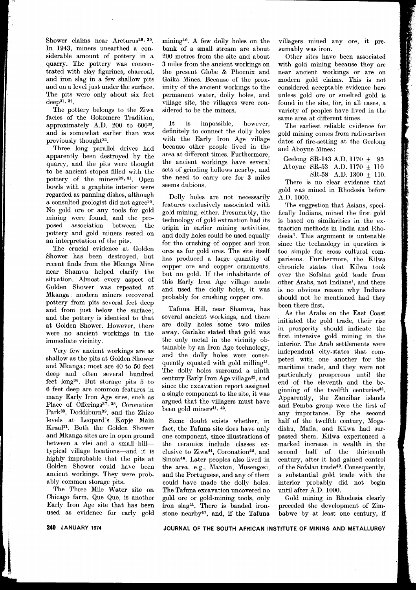Shower claims near Arcturus<sup>29, 30</sup>. In 1943, miners unearthed a considerable amount of pottery in a quarry. The pottery was concentrated with clay figurines, charcoal, and iron slag in a few shallow pits and on a level just under the surface. The pits were only about six feet deep<sup>31</sup>, <sup>32</sup>.

The pottery belongs to the Ziwa facies of the Gokomere Tradition, approximately A.D. 200 to 60033, and is somewhat earlier than was previously thought34.

Three long parallel drives had apparently been destroyed by the quarry, and the pits were thought to be ancient stopes filled with the pottery of the miners<sup>29, 31</sup>. Open bowls with a graphite interior were regarded as panning dishes, although a consulted geologist did not agree35. No gold ore or any tools for gold mining were found, and the proposed association between the pottery and gold miners rested on an interpretation of the pits.

The crucial evidence at Golden Shower has been destroyed, but recent finds from the Mkanga Mine near Shamva helped clarify the situation. Almost every aspect of Golden Shower was repeated at Mkanga: modern miners recovered pottery from pits several feet deep and from just below the surface; and the pottery is identical to that at Golden Shower. However, there were no ancient workings in the immediate vicinity.

Very few ancient workings are as shallow as the pits at Golden Shower and Mkanga; most are 40 to 50 feet deep and often several hundred feet long36. But storage pits 5 to 6 feet deep are common features in many Early Iron Age sites, such as Place of Offerings<sup>37, 38</sup>, Coronation Park<sup>33</sup>, Doddiburn<sup>39</sup>, and the Zhizo levels at Leopard's Kopje Main Kraalll. Both the Golden Shower and Mkanga sites are in open ground between a vlei and a small hilltypical village locations-and it is highly improbable that the pits at Golden Shower could have been ancient workings. They were probably common storage pits.

The Three Mile Water site on Chicago farm, Que Que, is another Early Iron Age site that has been used as evidence for early gold mining<sup>40</sup>. A few dolly holes on the bank of a small stream are about 200 metres from the site and about 3 miles from the ancient workings on the present Globe & Phoenix and Gaika Mines. Because of the proximity of the ancient workings to the permanent water, dolly holes, and village site, the villagers were considered to be the miners.

It is impossible, however, definitely to connect the dolly holes with the Early Iron Age village because other people lived in the area at different times. Furthermore, the ancient workings have several sets of grinding hollows nearby, and the need to carry ore for 3 miles seems dubious.

Dolly holes are not necessarily features exclusively associated with gold mining, either. Presumably, the technology of gold extraction had its origin in earlier mining activities, and dolly holes could be used equally for the crushing of copper and iron ores as for gold ores. The site itself has produced a large quantity of copper ore and copper ornaments, but no gold. If the inhabitants of this Early Iron Age village made and used the dolly holes, it was probably for crushing copper ore.

Tafuna Hill, near Shamva, has several ancient workings, and there are dolly holes 'some two miles away. Garlake stated that gold was the only metal in the vicinity obtainable by an Iron Age technology, and the dolly holes were consequently equated with gold milling41. The dolly holes surround a ninth century Early Iron Age village42, and since the excavation report assigned a single component to the site, it was argued that the villagers must have been gold miners<sup>41, 43</sup>.

Some doubt exists whether, in fact, the Tafuna site does have only one component, since illustrations of the ceramics include classes exclusive to Ziwa<sup>44</sup>, Coronation<sup>45</sup>, and Sinoia46. Later peoples also lived in the area, e.g., Maxton, Musengezi, and the Portuguese, and any of them could have made the dolly holes. The Tafuna excavation uncovered no gold ore or gold-mining tools, only iron slag41. There is banded ironstone nearby47, and, if the Tafuna villagers mined any ore, it presumably was iron.

Other sites have been associated with gold mining because they are near ancient workings or are on modern gold claims. This is not considered acceptable evidence here unless gold ore or smelted gold is found in the site, for, in all cases, a variety of peoples have lived in the same area at different times.

The earliest reliable evidence for gold mining comes from radiocarbon dates of fire-setting at the Geelohg and Aboyne Mines:

Geelong SR-143 A.D. 1170  $\pm$  95 Atoyne SR-53 A.D. 1170  $\pm$  110

 $SR-58$  A.D.  $1300 + 110$ .

There is no clear evidence that gold was mined in Rhodesia before A.D. 1000.

The suggestion that Asians, specifically Indians, mined the first gold is based on similarities in the extraction methods in India and Rhodesia7. This argument is untenable since the technology in question is too simple for cross cultural comparisons. Furthermore, the Kilwa chronicle states that Kilwa took over the Sofalan gold trade from other Arabs, not Indians!, and there is no obvious reason why Indians should not be mentioned had they been there first.

As the Arabs on the East Coast initiated the gold trade, their rise in prosperity should indicate the first intensive gold mining in the interior. The Arab settlements were independent city-states that competed with one another for the maritime trade, and they were not particularly prosperous until the end of the eleventh and the beginning of the twelfth centuries48. Apparently, the Zanzibar islands and Pemba group were the first of any importance. By the second half of the twelfth century, Mogadishu, Mafia, and Kilwa had surpassed them. Kilwa experienced a marked increase in wealth in the second half of the thirteenth century, after it had gained control of the Sofalan trade49. Consequently, a substantial gold trade with the interior probably did not begin until after A.D. 1000.

Gold mining in Rhodesia clearly preceded the development of Zimbabwe by at least one century, if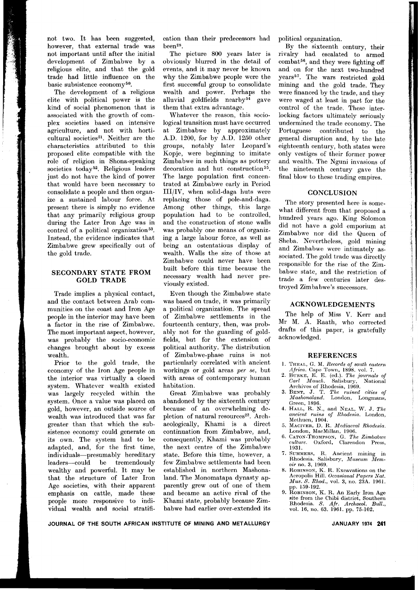not two. It has been suggested, however, that external trade was not important until after the initial development of Zimbabwe by a religious elite, and that the gold trade had little influence on the basic subsistence economy<sup>50</sup>.

The development of a religious elite with political power is the kind of social phenomenon that is associated with the growth of complex societies based on intensive agriculture, and not with horticultural societies<sup>51</sup>. Neither are the characteristics attributed to this proposed elite compatible with the role of religion in Shona-speaking societies today<sup>52</sup>. Religious leaders just do not have the kind of power that would have been necessary to consolidate a people and then organize a sustained labour force. At present there is simply no evidence that any primarily religious group during the Later Iron Age was in control of a political organization 53. Instead, the evidence indicates that Zimbabwe grew specifically out of the gold trade.

# SECONDARY STATE FROM GOLD TRADE

Trade implies a physical contact, and the contact between Arab communities on the coast and Iron Age people in the interior may have been a factor in the rise of Zimbabwe. The most important aspect, however, was probably the socio-economic changes brought about by excess wealth.

Prior to the gold trade, the economy of the Iron Age people in the interior was virtually a closed system. Whatever wealth existed was largely recycled within the system. Once a value was placed on gold, however, an outside source of wealth was introduced that was far greater than that which the subsistence economy could generate on its own. The system had to be adapted, and, for the first time, individuals-presumably hereditary leaders-could be tremendously wealthy and powerful. It may be that the structure of Later Iron Age societies, with their apparent emphasis on cattle, made these people more responsive to individual wealth and social stratification than their predecessors had been28.

The picture 800 years later is obviously blurred in the detail of events, and it may never be known why the Zimbabwe people were the first successful group to consolidate wealth and power. Perhaps the alluvial goldfields nearby $54$  gave them that extra advantage.

Whatever the reason, this sociological transition must have occurred at Zimbabwe by approximately A.D. 1200, for by A.D. 1250 other groups, notably later Leopard's Kopje, were beginning to imitate Zimbabwe in such things as pottery decoration and hut construction<sup>55</sup>. The large population first concentrated at Zimbabwe early in Period Ill/IV, when solid-daga huts were replacing those of pole-and-daga. Among other things, this large population had to be controlled, and the construction of stone walls was probably one means of organizing a large labour force, as well as being an ostentatious display of wealth. Walls the size of those at Zimbabwe could never have been built before this time because the necessary wealth had never previously existed.

Even though the Zimbabwe state was based on trade, it was primarily a political organization. The spread of Zimbabwe settlements in the fourteenth century, then, was probably not for the guarding of goldfields, but for the extension of political authority. The distribution of Zimbabwe-phase ruins is not particularly correlated with ancient workings or gold areas *per se,* but with areas of contemporary human habitation.

Great Zimbabwe was probably abandoned by the sixteenth century because of an overwhelming depletion of natural resources<sup>22</sup>. Archaeologically, Khami is a direct continuation from Zimbabwe, and, consequently, Khami was probably the next centre of the Zimbabwe state. Before this time, however, a few Zimbabwe settlements had been established in northern Mashonaland. The Monomatapa dynasty apparently grew out of one of them and became an active rival of the Khami state, probably because Zimbabwe had earlier over-extended its political organization.

By the sixteenth century, their rivalry had escalated to armed combat56, and they were fighting off and on for the next two-hundred years57. The wars restricted gold mining and the gold trade. They were financed by the trade, and they were waged at least in part for the control of the trade. These interlocking factors ultimately seriously undermined the trade economy. The Portuguese contributed to the general disruption and, by the late eighteenth century, both states were only vestiges of their former power and wealth. The Nguni invasions of the nineteenth century gave the final blow to these trading empires.

## **CONCLUSION**

The story presented here is somewhat different from that proposed a hundred years ago. King Solomon did not have a gold emporium at Zimbabwe nor did the Queen of Sheba. Nevertheless, gold mining and Zimbabwe were intimately associated. The gold trade was directly responsible for the rise of the Zimbabwe state, and the restriction of trade a few centuries later destroyed Zimbabwe's successors.

### ACKNOWLEDGEMENTS

The help of Miss V. Kerr and Mr M. A. Raath, who corrected drafts of this paper, is gratefully acknowledged.

#### REFERENCES

- 1. THEAL, G. M. *Records of south eastern Africa.* Cape Town, 1898. vol. 7.
- 2. BURKE, E. E. (ed.). *The journals of carl Mauch.* Salisbury, National Archives of Rhodesia, 1969. 3. BENT, J. T. *The ruined cities of*
- *Mashonaland.* London, Longman Green, 1896.
- 4. HALL, R. N., and NEAL, W. J. *The ancient ruins of Rhodesia.* London, Methuen, 1904.
- 5. MACIVER, D. R. *Mediaeval Rhodesia.* London, MacMillan, 1906.
- 6. CATON-THOMPSON,G. *The Zimbabwe culture.* Oxford, Clarendon Press, 1931.
- 7. SUMMERS, R. Ancient mining in Rhodesia. Salisbury, *Museum Mem-oir* no. 3, 1969.
- 8. ROBINSON, K. R. Excavations on the Acropolis Hill. *Occasional Papers Nat. Mus. S. Rhod.,* vo!. 3, no. *23A.* 1961. pp. 159-192.
- 9. ROBINSON, K. R. An Early Iron Age site from the Chibi district, Southern Rhodesia. *S. Air. Archaeol. Bull.,* vo!. 16, no. 63. 1961. pp. 75-102.

JOURNAL OF THE SOUTH AFRICAN INSTITUTE OF MINING AND METALLURGY JANUARY 1974 **241**